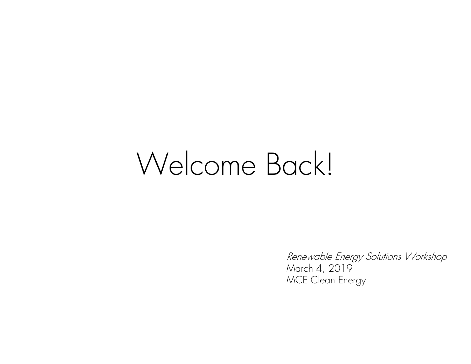# Welcome Back!

Renewable Energy Solutions Workshop March 4, 2019 MCE Clean Energy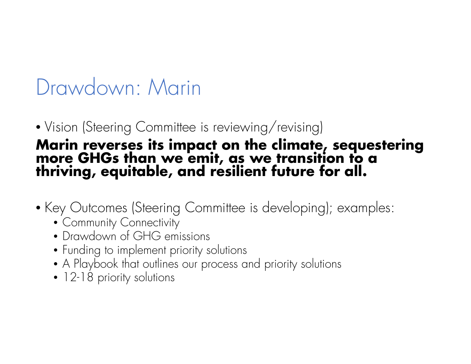# Drawdown: Marin

# • Vision (Steering Committee is reviewing/revising) **Marin reverses its impact on the climate, sequestering more GHGs than we emit, as we transition to a thriving, equitable, and resilient future for all.**

- Key Outcomes (Steering Committee is developing); examples:
	- Community Connectivity
	- Drawdown of GHG emissions
	- Funding to implement priority solutions
	- A Playbook that outlines our process and priority solutions
	- 12-18 priority solutions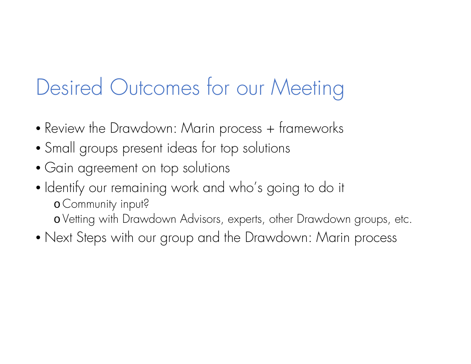# Desired Outcomes for our Meeting

- Review the Drawdown: Marin process + frameworks
- Small groups present ideas for top solutions
- Gain agreement on top solutions
- Identify our remaining work and who's going to do it o Community input? o Vetting with Drawdown Advisors, experts, other Drawdown groups, etc.
- Next Steps with our group and the Drawdown: Marin process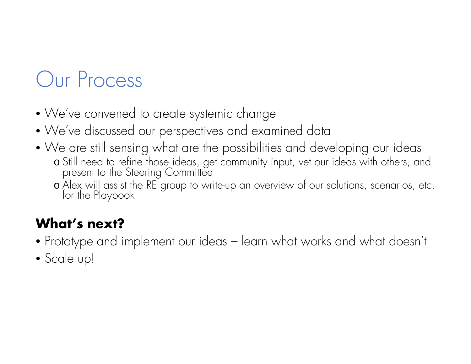# Our Process

- We've convened to create systemic change
- We've discussed our perspectives and examined data
- We are still sensing what are the possibilities and developing our ideas o Still need to refine those ideas, get community input, vet our ideas with others, and present to the Steering Committee
	- o Alex will assist the RE group to write-up an overview of our solutions, scenarios, etc.<br>for the Playbook

### **What's next?**

- Prototype and implement our ideas learn what works and what doesn't
- Scale up!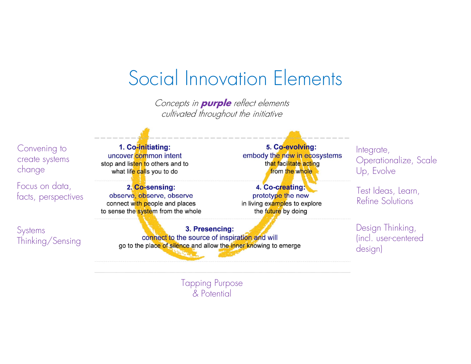### Social Innovation Elements

Concepts in **purple** reflect elements cultivated throughout the initiative

Convening to create systems change

Focus on data, facts, perspectives

**Systems** Thinking/Sensing

1. Co-initiating: uncover common intent stop and listen to others and to what life calls you to do

2. Co-sensing: observe, observe, observe connect with people and places to sense the system from the whole

> 3. Presencing: connect to the source of inspiration and will go to the place of silence and allow the inner knowing to emerge

5. Co-evolving: embody the new in ecosystems that facilitate acting from the whole

4. Co-creating: prototype the new in living examples to explore the future by doing

Integrate, Operationalize, Scale Up, Evolve

Test Ideas, Learn, Refine Solutions

Design Thinking, (incl. user-centered design)

Tapping Purpose & Potential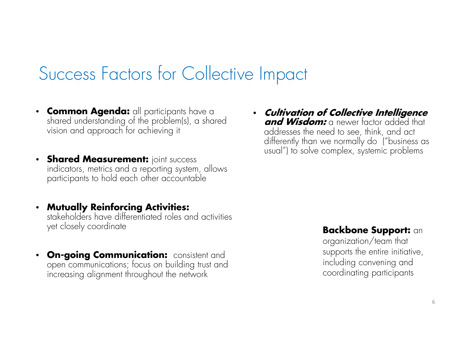### Success Factors for Collective Impact

- **Common Agenda:** all participants have a shared understanding of the problem(s), a shared vision and approach for achieving it
- **Shared Measurement: joint success** indicators, metrics and a reporting system, allows<br>participants to hold each other accountable
- Mutually Reinforcing Activities: **Mutually Reinforcing Activities:** stakeholders have differentiated roles and activities yet closely coordinate
- •**On-going Communication:** consistent and open communications; focus on building trust and increasing alignment throughout the network

• **Cultivation of Collective Intelligence and Wisdom:** a newer factor added that addresses the need to see, think, and act differently than we normally do ("business as usual") to solve complex, systemic problems

#### **Backbone Support:** an

organization/team that supports the entire initiative, including convening and coordinating participants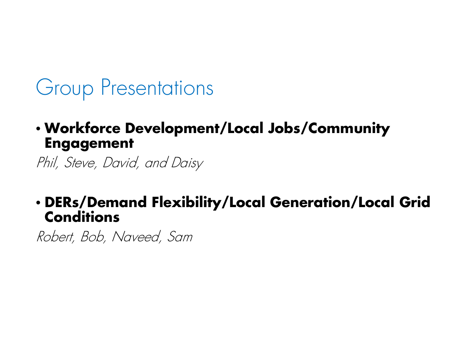### Group Presentations

#### • **Workforce Development/Local Jobs/Community Engagement**

Phil, Steve, David, and Daisy

# • **DERs/Demand Flexibility/Local Generation/Local Grid Conditions**

Robert, Bob, Naveed, Sam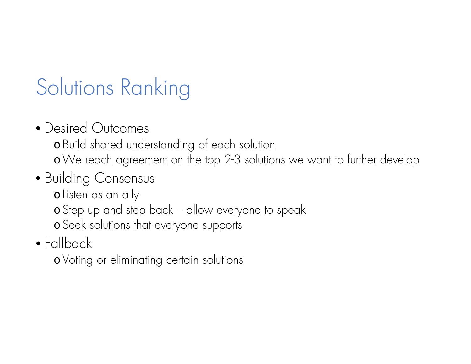# Solutions Ranking

• Desired Outcomes

o Build shared understanding of each solution

<sup>o</sup>We reach agreement on the top 2-3 solutions we want to further develop

### • Building Consensus

o Listen as an ally

o Step up and step back – allow everyone to speak

o Seek solutions that everyone supports

### • Fallback

o Voting or eliminating certain solutions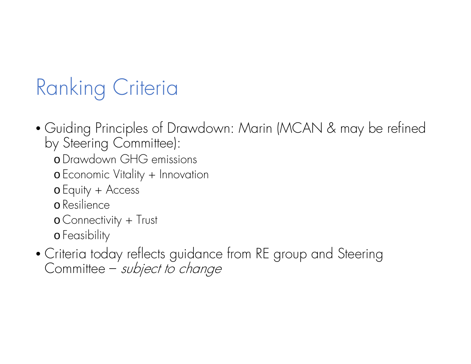# Ranking Criteria

- Guiding Principles of Drawdown: Marin (MCAN & may be refined by Steering Committee):
	- <sup>o</sup>Drawdown GHG emissions
	- o Economic Vitality + Innovation
	- o Equity + Access
	- o Resilience
	- o Connectivity + Trust
	- o Feasibility
- Criteria today reflects guidance from RE group and Steering Committee – *subject to change*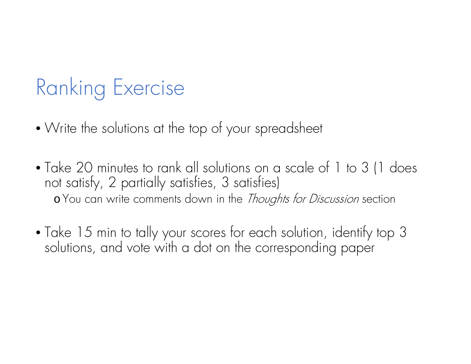# Ranking Exercise

- Write the solutions at the top of your spreadsheet
- Take 20 minutes to rank all solutions on a scale of 1 to 3 (1 does not satisfy, 2 partially satisfies, 3 satisfies) o You can write comments down in the *Thoughts for Discussion* section
- Take 15 min to tally your scores for each solution, identify top 3 solutions, and vote with a dot on the corresponding paper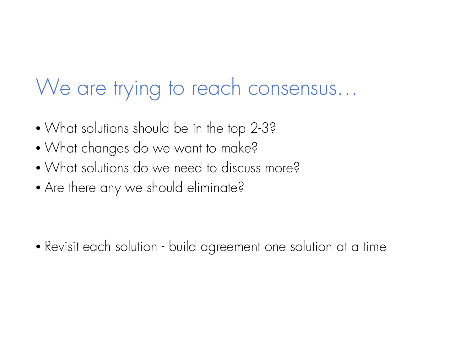# We are trying to reach consensus…

- What solutions should be in the top 2-3?
- What changes do we want to make?
- What solutions do we need to discuss more?
- Are there any we should eliminate?

• Revisit each solution - build agreement one solution at a time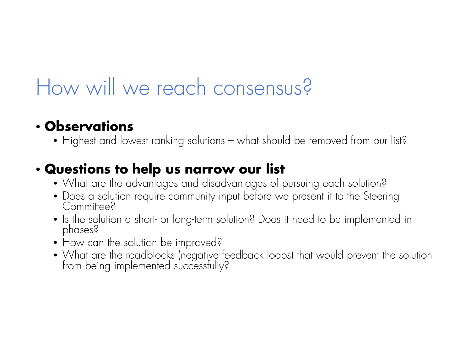# How will we reach consensus?

#### • **Observations**

• Highest and lowest ranking solutions – what should be removed from our list?

### • **Questions to help us narrow our list**

- What are the advantages and disadvantages of pursuing each solution?
- Does a solution require community input before we present it to the Steering<br>Committee?
- Is the solution a short- or long-term solution? Does it need to be implemented in phases?
- How can the solution be improved?
- What are the roadblocks (negative feedback loops) that would prevent the solution from being implemented successfully?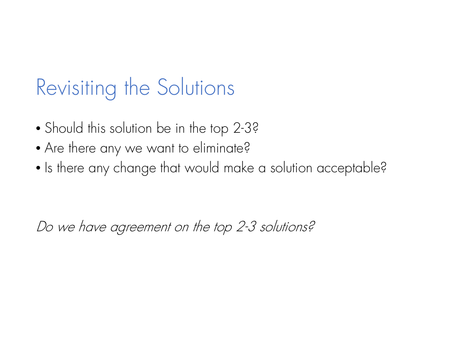# Revisiting the Solutions

- Should this solution be in the top 2-3?
- Are there any we want to eliminate?
- $\bullet$  Is there any change that would make a solution acceptable?

Do we have agreement on the top 2-3 solutions?